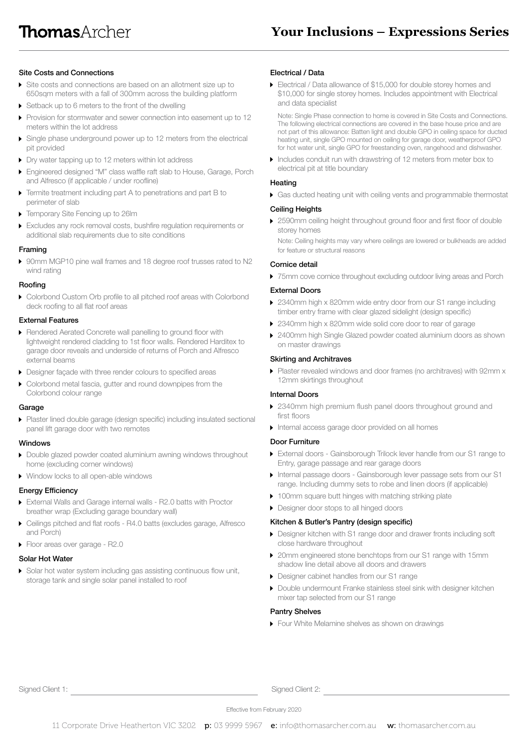## Site Costs and Connections

- Site costs and connections are based on an allotment size up to 650sqm meters with a fall of 300mm across the building platform
- Setback up to 6 meters to the front of the dwelling
- Provision for stormwater and sewer connection into easement up to 12 meters within the lot address
- Single phase underground power up to 12 meters from the electrical pit provided
- Dry water tapping up to 12 meters within lot address
- Engineered designed "M" class waffle raft slab to House, Garage, Porch and Alfresco (if applicable / under roofline)
- Termite treatment including part A to penetrations and part B to perimeter of slab
- Temporary Site Fencing up to 26lm
- Excludes any rock removal costs, bushfire regulation requirements or additional slab requirements due to site conditions

#### Framing

 90mm MGP10 pine wall frames and 18 degree roof trusses rated to N2 wind rating

## Roofing

▶ Colorbond Custom Orb profile to all pitched roof areas with Colorbond deck roofing to all flat roof areas

### External Features

- Rendered Aerated Concrete wall panelling to ground floor with lightweight rendered cladding to 1st floor walls. Rendered Harditex to garage door reveals and underside of returns of Porch and Alfresco external beams
- Designer façade with three render colours to specified areas
- Colorbond metal fascia, gutter and round downpipes from the Colorbond colour range

#### Garage

 Plaster lined double garage (design specific) including insulated sectional panel lift garage door with two remotes

### Windows

- Double glazed powder coated aluminium awning windows throughout home (excluding corner windows)
- ▶ Window locks to all open-able windows

### Energy Efficiency

- External Walls and Garage internal walls R2.0 batts with Proctor breather wrap (Excluding garage boundary wall)
- Ceilings pitched and flat roofs R4.0 batts (excludes garage, Alfresco and Porch)
- Floor areas over garage R2.0

### Solar Hot Water

Solar hot water system including gas assisting continuous flow unit, storage tank and single solar panel installed to roof

### Electrical / Data

 Electrical / Data allowance of \$15,000 for double storey homes and \$10,000 for single storey homes. Includes appointment with Electrical and data specialist

 Note: Single Phase connection to home is covered in Site Costs and Connections. The following electrical connections are covered in the base house price and are not part of this allowance: Batten light and double GPO in ceiling space for ducted heating unit, single GPO mounted on ceiling for garage door, weatherproof GPO for hot water unit, single GPO for freestanding oven, rangehood and dishwasher.

Includes conduit run with drawstring of 12 meters from meter box to electrical pit at title boundary

### Heating

Gas ducted heating unit with ceiling vents and programmable thermostat

# Ceiling Heights

▶ 2590mm ceiling height throughout ground floor and first floor of double storey homes

 Note: Ceiling heights may vary where ceilings are lowered or bulkheads are added for feature or structural reasons

## Cornice detail

▶ 75mm cove cornice throughout excluding outdoor living areas and Porch

## External Doors

- 2340mm high x 820mm wide entry door from our S1 range including timber entry frame with clear glazed sidelight (design specific)
- ▶ 2340mm high x 820mm wide solid core door to rear of garage
- ▶ 2400mm high Single Glazed powder coated aluminium doors as shown on master drawings

#### Skirting and Architraves

 Plaster revealed windows and door frames (no architraves) with 92mm x 12mm skirtings throughout

## Internal Doors

- ▶ 2340mm high premium flush panel doors throughout ground and first floors
- Internal access garage door provided on all homes

## Door Furniture

- External doors Gainsborough Trilock lever handle from our S1 range to Entry, garage passage and rear garage doors
- Internal passage doors Gainsborough lever passage sets from our S1 range. Including dummy sets to robe and linen doors (if applicable)
- ▶ 100mm square butt hinges with matching striking plate
- **Designer door stops to all hinged doors**

### Kitchen & Butler's Pantry (design specific)

- Designer kitchen with S1 range door and drawer fronts including soft close hardware throughout
- ▶ 20mm engineered stone benchtops from our S1 range with 15mm shadow line detail above all doors and drawers
- Designer cabinet handles from our S1 range
- Double undermount Franke stainless steel sink with designer kitchen mixer tap selected from our S1 range

## Pantry Shelves

Four White Melamine shelves as shown on drawings